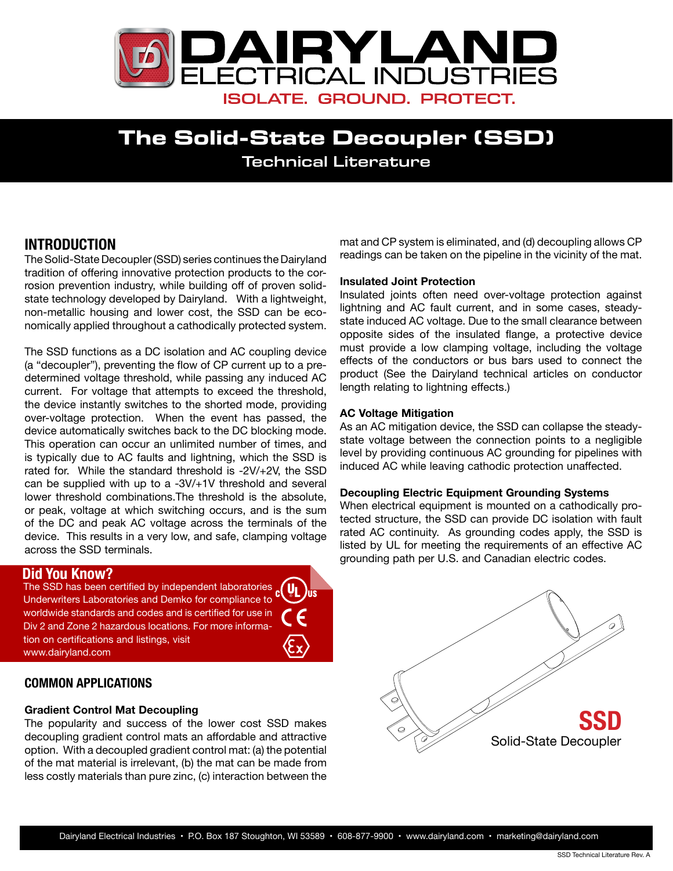

# **The Solid-State Decoupler (SSD)** Technical Literature

## **INTRODUCTION**

The Solid-State Decoupler (SSD) series continues the Dairyland tradition of offering innovative protection products to the corrosion prevention industry, while building off of proven solidstate technology developed by Dairyland. With a lightweight, non-metallic housing and lower cost, the SSD can be economically applied throughout a cathodically protected system.

The SSD functions as a DC isolation and AC coupling device (a "decoupler"), preventing the flow of CP current up to a predetermined voltage threshold, while passing any induced AC current. For voltage that attempts to exceed the threshold, the device instantly switches to the shorted mode, providing over-voltage protection. When the event has passed, the device automatically switches back to the DC blocking mode. This operation can occur an unlimited number of times, and is typically due to AC faults and lightning, which the SSD is rated for. While the standard threshold is -2V/+2V, the SSD can be supplied with up to a -3V/+1V threshold and several lower threshold combinations.The threshold is the absolute, or peak, voltage at which switching occurs, and is the sum of the DC and peak AC voltage across the terminals of the device. This results in a very low, and safe, clamping voltage across the SSD terminals.

### **Did You Know?**

DIU TOU RITOW.<br>The SSD has been certified by independent laboratories  $\frac{1}{c}$ Underwriters Laboratories and Demko for compliance to worldwide standards and codes and is certified for use in Div 2 and Zone 2 hazardous locations. For more information on certifications and listings, visit www.dairyland.com

## **COMMON APPLICATIONS**

#### **Gradient Control Mat Decoupling**

The popularity and success of the lower cost SSD makes decoupling gradient control mats an affordable and attractive option. With a decoupled gradient control mat: (a) the potential of the mat material is irrelevant, (b) the mat can be made from less costly materials than pure zinc, (c) interaction between the mat and CP system is eliminated, and (d) decoupling allows CP readings can be taken on the pipeline in the vicinity of the mat.

#### **Insulated Joint Protection**

Insulated joints often need over-voltage protection against lightning and AC fault current, and in some cases, steadystate induced AC voltage. Due to the small clearance between opposite sides of the insulated flange, a protective device must provide a low clamping voltage, including the voltage effects of the conductors or bus bars used to connect the product (See the Dairyland technical articles on [conductor](http://www.dairyland.com/applications/ConductorLengthIssues) [length](http://www.dairyland.com/applications/ConductorLengthIssues) relating to lightning effects.)

#### **AC Voltage Mitigation**

As an AC mitigation device, the SSD can collapse the steadystate voltage between the connection points to a negligible level by providing continuous AC grounding for pipelines with induced AC while leaving cathodic protection unaffected.

#### **Decoupling Electric Equipment Grounding Systems**

When electrical equipment is mounted on a cathodically protected structure, the SSD can provide DC isolation with fault rated AC continuity. As grounding codes apply, the SSD is listed by UL for meeting the requirements of an effective AC grounding path per U.S. and Canadian electric codes.

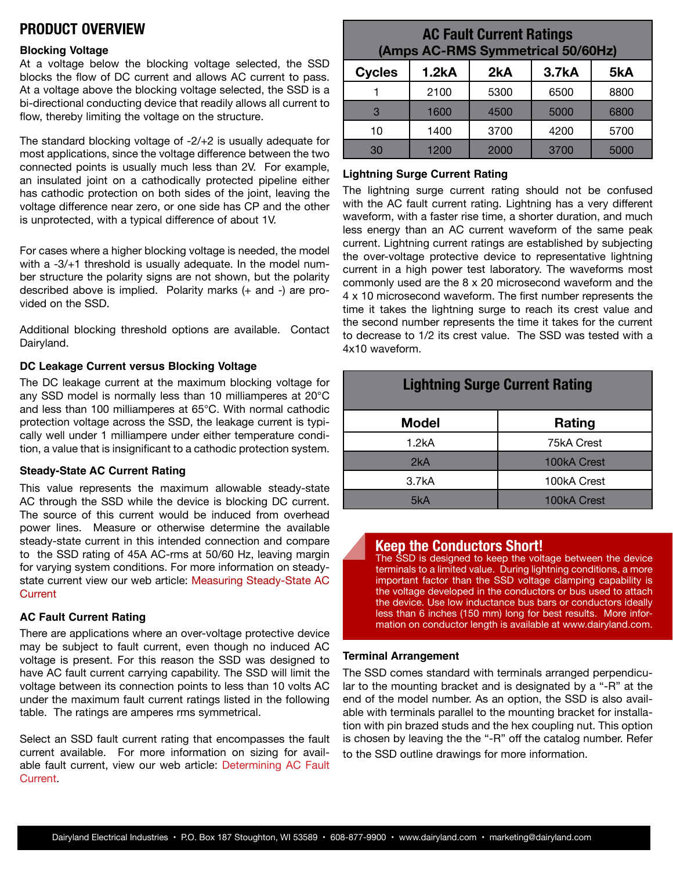## **PRODUCT OVERVIEW**

#### **Blocking Voltage**

At a voltage below the blocking voltage selected, the SSD blocks the flow of DC current and allows AC current to pass. At a voltage above the blocking voltage selected, the SSD is a bi-directional conducting device that readily allows all current to flow, thereby limiting the voltage on the structure.

The standard blocking voltage of -2/+2 is usually adequate for most applications, since the voltage difference between the two connected points is usually much less than 2V. For example, an insulated joint on a cathodically protected pipeline either has cathodic protection on both sides of the joint, leaving the voltage difference near zero, or one side has CP and the other is unprotected, with a typical difference of about 1V.

For cases where a higher blocking voltage is needed, the model with a -3/+1 threshold is usually adequate. In the model number structure the polarity signs are not shown, but the polarity described above is implied. Polarity marks (+ and -) are provided on the SSD.

Additional blocking threshold options are available. Contact Dairyland.

#### **DC Leakage Current versus Blocking Voltage**

The DC leakage current at the maximum blocking voltage for any SSD model is normally less than 10 milliamperes at 20°C and less than 100 milliamperes at 65°C. With normal cathodic protection voltage across the SSD, the leakage current is typically well under 1 milliampere under either temperature condition, a value that is insignificant to a cathodic protection system.

#### **Steady-State AC Current Rating**

This value represents the maximum allowable steady-state AC through the SSD while the device is blocking DC current. The source of this current would be induced from overhead power lines. Measure or otherwise determine the available steady-state current in this intended connection and compare to the SSD rating of 45A AC-rms at 50/60 Hz, leaving margin for varying system conditions. For more information on steadystate current view our web article: [Measuring Steady-State AC](http://www.dairyland.com/tech-blog/19-technical-articles/38-measuring-induced-ac)  **[Current](http://www.dairyland.com/tech-blog/19-technical-articles/38-measuring-induced-ac)** 

#### **AC Fault Current Rating**

There are applications where an over-voltage protective device may be subject to fault current, even though no induced AC voltage is present. For this reason the SSD was designed to have AC fault current carrying capability. The SSD will limit the voltage between its connection points to less than 10 volts AC under the maximum fault current ratings listed in the following table. The ratings are amperes rms symmetrical.

Select an SSD fault current rating that encompasses the fault current available. For more information on sizing for available fault current, view our web article: [Determining AC Fault](http://www.dairyland.com/tech-blog/19-technical-articles/39-determining-ac-fault-current) [Current](http://www.dairyland.com/tech-blog/19-technical-articles/39-determining-ac-fault-current).

## **AC Fault Current Ratings (Amps AC-RMS Symmetrical 50/60Hz)**

| <b>Cycles</b> | <b>1.2kA</b> | 2kA  | 3.7kA | 5kA  |
|---------------|--------------|------|-------|------|
|               | 2100         | 5300 | 6500  | 8800 |
| 3             | 1600         | 4500 | 5000  | 6800 |
| 10            | 1400         | 3700 | 4200  | 5700 |
| 30            | 1200         | 2000 | 3700  | 5000 |

#### **Lightning Surge Current Rating**

The lightning surge current rating should not be confused with the AC fault current rating. Lightning has a very different waveform, with a faster rise time, a shorter duration, and much less energy than an AC current waveform of the same peak current. Lightning current ratings are established by subjecting the over-voltage protective device to representative lightning current in a high power test laboratory. The waveforms most commonly used are the 8 x 20 microsecond waveform and the 4 x 10 microsecond waveform. The first number represents the time it takes the lightning surge to reach its crest value and the second number represents the time it takes for the current to decrease to 1/2 its crest value. The SSD was tested with a 4x10 waveform.

| <b>Lightning Surge Current Rating</b> |             |  |  |  |
|---------------------------------------|-------------|--|--|--|
| <b>Model</b>                          | Rating      |  |  |  |
| 1.2kA                                 | 75kA Crest  |  |  |  |
| 2kA                                   | 100kA Crest |  |  |  |
| 3.7kA                                 | 100kA Crest |  |  |  |
| 5kA                                   | 100kA Crest |  |  |  |

### **Keep the Conductors Short!**

The SSD is designed to keep the voltage between the device terminals to a limited value. During lightning conditions, a more important factor than the SSD voltage clamping capability is the voltage developed in the conductors or bus used to attach the device. Use low inductance bus bars or conductors ideally less than 6 inches (150 mm) long for best results. More information on conductor length is available at www.dairyland.com.

#### **Terminal Arrangement**

The SSD comes standard with terminals arranged perpendicular to the mounting bracket and is designated by a "-R" at the end of the model number. As an option, the SSD is also available with terminals parallel to the mounting bracket for installation with pin brazed studs and the hex coupling nut. This option is chosen by leaving the the "-R" off the catalog number. Refer to the SSD outline drawings for more information.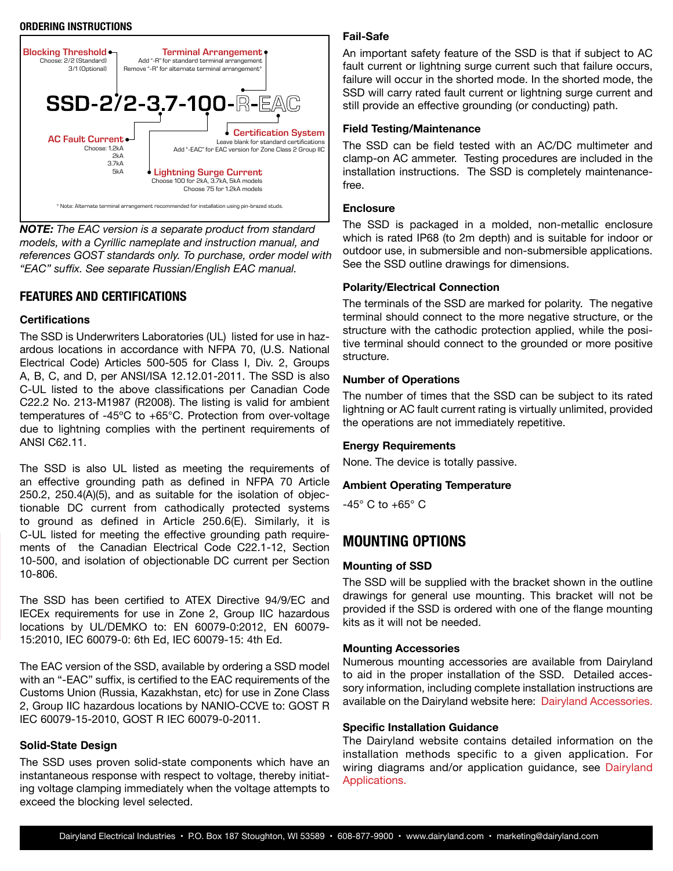#### **ORDERING INSTRUCTIONS**



*NOTE: The EAC version is a separate product from standard models, with a Cyrillic nameplate and instruction manual, and references GOST standards only. To purchase, order model with "EAC" suffix. See separate Russian/English EAC manual.*

#### **FEATURES AND CERTIFICATIONS**

#### **Certifications**

The SSD is Underwriters Laboratories (UL) listed for use in hazardous locations in accordance with NFPA 70, (U.S. National Electrical Code) Articles 500-505 for Class I, Div. 2, Groups A, B, C, and D, per ANSI/ISA 12.12.01-2011. The SSD is also C-UL listed to the above classifications per Canadian Code C22.2 No. 213-M1987 (R2008). The listing is valid for ambient temperatures of -45ºC to +65°C. Protection from over-voltage due to lightning complies with the pertinent requirements of ANSI C62.11.

The SSD is also UL listed as meeting the requirements of an effective grounding path as defined in NFPA 70 Article 250.2, 250.4(A)(5), and as suitable for the isolation of objectionable DC current from cathodically protected systems to ground as defined in Article 250.6(E). Similarly, it is C-UL listed for meeting the effective grounding path requirements of the Canadian Electrical Code C22.1-12, Section 10-500, and isolation of objectionable DC current per Section 10-806.

The SSD has been certified to ATEX Directive 94/9/EC and IECEx requirements for use in Zone 2, Group IIC hazardous locations by UL/DEMKO to: EN 60079-0:2012, EN 60079- 15:2010, IEC 60079-0: 6th Ed, IEC 60079-15: 4th Ed.

The EAC version of the SSD, available by ordering a SSD model with an "-EAC" suffix, is certified to the EAC requirements of the Customs Union (Russia, Kazakhstan, etc) for use in Zone Class 2, Group IIC hazardous locations by NANIO-CCVE to: GOST R IEC 60079-15-2010, GOST R IEC 60079-0-2011.

#### **Solid-State Design**

The SSD uses proven solid-state components which have an instantaneous response with respect to voltage, thereby initiating voltage clamping immediately when the voltage attempts to exceed the blocking level selected.

#### **Fail-Safe**

An important safety feature of the SSD is that if subject to AC fault current or lightning surge current such that failure occurs, failure will occur in the shorted mode. In the shorted mode, the SSD will carry rated fault current or lightning surge current and still provide an effective grounding (or conducting) path.

#### **Field Testing/Maintenance**

The SSD can be field tested with an AC/DC multimeter and clamp-on AC ammeter. Testing procedures are included in the installation instructions. The SSD is completely maintenancefree.

#### **Enclosure**

The SSD is packaged in a molded, non-metallic enclosure which is rated IP68 (to 2m depth) and is suitable for indoor or outdoor use, in submersible and non-submersible applications. See the SSD outline drawings for dimensions.

#### **Polarity/Electrical Connection**

The terminals of the SSD are marked for polarity. The negative terminal should connect to the more negative structure, or the structure with the cathodic protection applied, while the positive terminal should connect to the grounded or more positive structure.

#### **Number of Operations**

The number of times that the SSD can be subject to its rated lightning or AC fault current rating is virtually unlimited, provided the operations are not immediately repetitive.

#### **Energy Requirements**

None. The device is totally passive.

#### **Ambient Operating Temperature**

 $-45^\circ$  C to  $+65^\circ$  C

## **MOUNTING OPTIONS**

#### **Mounting of SSD**

The SSD will be supplied with the bracket shown in the outline drawings for general use mounting. This bracket will not be provided if the SSD is ordered with one of the flange mounting kits as it will not be needed.

#### **Mounting Accessories**

Numerous mounting accessories are available from Dairyland to aid in the proper installation of the SSD. Detailed accessory information, including complete installation instructions are [a](http://www.dairyland.com/accessories)vailable on the Dairyland website here: [Dairyland Accessories.](http://www.dairyland.com/accessories)

#### **Specific Installation Guidance**

The Dairyland website contains detailed information on the installation methods specific to a given application. For wiring diagrams and/or application guidance, see [Dairyland](http://www.dairyland.com/applications) [Applications.](http://www.dairyland.com/applications)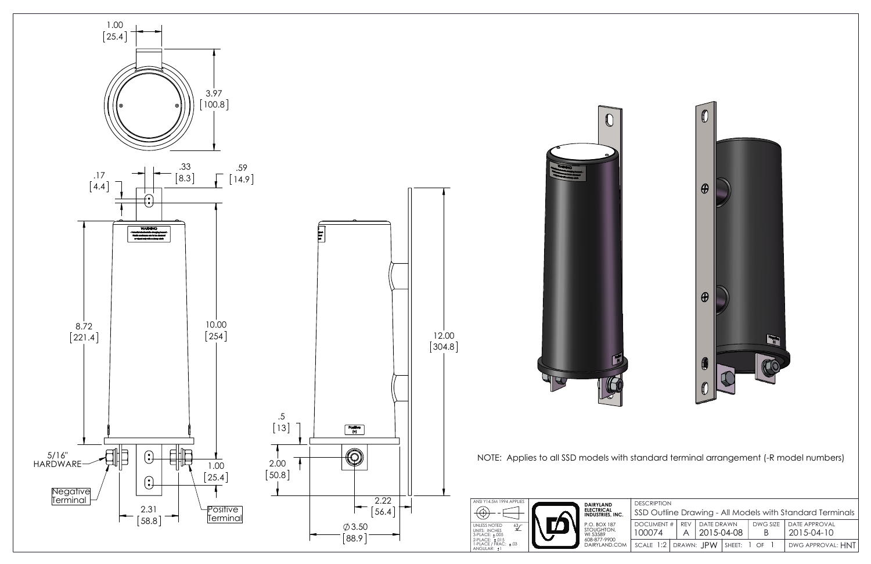





NOTE: Applies to all SSD models with standard terminal arrangement (-R model numbers)

| <b>DESCRIPTION</b>                                       |  |                    |  |          |                      |  |
|----------------------------------------------------------|--|--------------------|--|----------|----------------------|--|
| SSD Outline Drawing - All Models with Standard Terminals |  |                    |  |          |                      |  |
| DOCUMENT #   REV   DATE DRAWN                            |  |                    |  | DWG SIZE | <b>DATE APPROVAL</b> |  |
| 100074                                                   |  | $ 2015 - 04 - 08 $ |  | В        | 2015-04-10           |  |
| SCALE 1:2   DRAWN: $JPW$   SHEET: 1 OF 1                 |  |                    |  |          | DWG APPROVAL: HNT    |  |